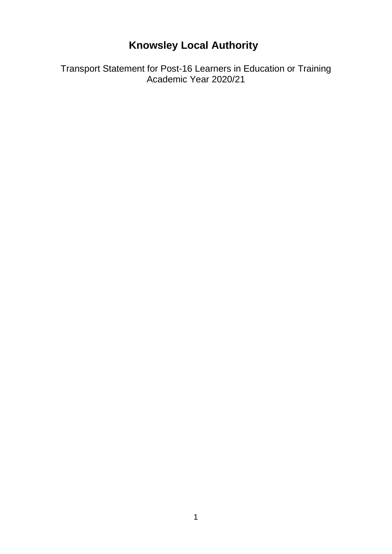# **Knowsley Local Authority**

Transport Statement for Post-16 Learners in Education or Training Academic Year 2020/21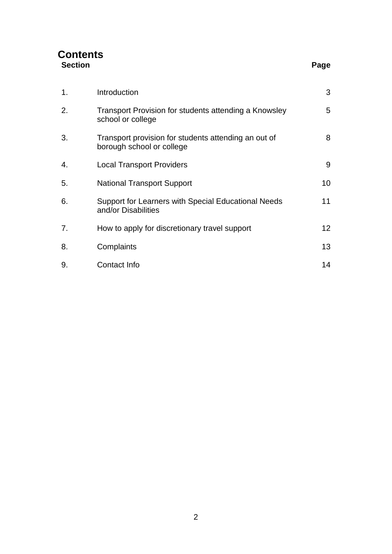| <b>Contents</b> |      |
|-----------------|------|
| <b>Section</b>  | Page |

| × | ×<br>۰. |
|---|---------|

| 1. | Introduction                                                                      | 3               |
|----|-----------------------------------------------------------------------------------|-----------------|
| 2. | Transport Provision for students attending a Knowsley<br>school or college        | 5               |
| 3. | Transport provision for students attending an out of<br>borough school or college | 8               |
| 4. | <b>Local Transport Providers</b>                                                  | 9               |
| 5. | <b>National Transport Support</b>                                                 | 10              |
| 6. | Support for Learners with Special Educational Needs<br>and/or Disabilities        | 11              |
| 7. | How to apply for discretionary travel support                                     | 12 <sup>°</sup> |
| 8. | Complaints                                                                        | 13              |
| 9. | Contact Info                                                                      | 14              |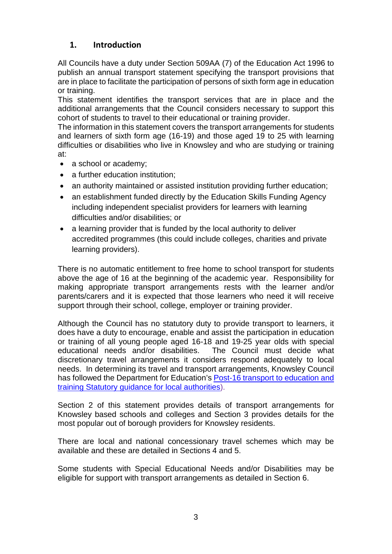# **1. Introduction**

All Councils have a duty under Section 509AA (7) of the Education Act 1996 to publish an annual transport statement specifying the transport provisions that are in place to facilitate the participation of persons of sixth form age in education or training.

This statement identifies the transport services that are in place and the additional arrangements that the Council considers necessary to support this cohort of students to travel to their educational or training provider.

The information in this statement covers the transport arrangements for students and learners of sixth form age (16-19) and those aged 19 to 25 with learning difficulties or disabilities who live in Knowsley and who are studying or training at:

- a school or academy;
- a further education institution;
- an authority maintained or assisted institution providing further education;
- an establishment funded directly by the Education Skills Funding Agency including independent specialist providers for learners with learning difficulties and/or disabilities; or
- a learning provider that is funded by the local authority to deliver accredited programmes (this could include colleges, charities and private learning providers).

There is no automatic entitlement to free home to school transport for students above the age of 16 at the beginning of the academic year. Responsibility for making appropriate transport arrangements rests with the learner and/or parents/carers and it is expected that those learners who need it will receive support through their school, college, employer or training provider.

Although the Council has no statutory duty to provide transport to learners, it does have a duty to encourage, enable and assist the participation in education or training of all young people aged 16-18 and 19-25 year olds with special educational needs and/or disabilities. The Council must decide what discretionary travel arrangements it considers respond adequately to local needs. In determining its travel and transport arrangements, Knowsley Council has followed the Department for Education's [Post-16 transport to education and](https://assets.publishing.service.gov.uk/government/uploads/system/uploads/attachment_data/file/652980/Post-16_Transport_Guidance.pdf)  [training Statutory guidance for local authorities\)](https://assets.publishing.service.gov.uk/government/uploads/system/uploads/attachment_data/file/652980/Post-16_Transport_Guidance.pdf).

Section 2 of this statement provides details of transport arrangements for Knowsley based schools and colleges and Section 3 provides details for the most popular out of borough providers for Knowsley residents.

There are local and national concessionary travel schemes which may be available and these are detailed in Sections 4 and 5.

Some students with Special Educational Needs and/or Disabilities may be eligible for support with transport arrangements as detailed in Section 6.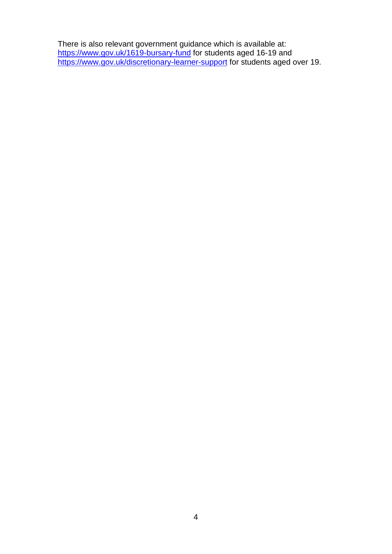There is also relevant government guidance which is available at: <https://www.gov.uk/1619-bursary-fund> for students aged 16-19 and <https://www.gov.uk/discretionary-learner-support> for students aged over 19.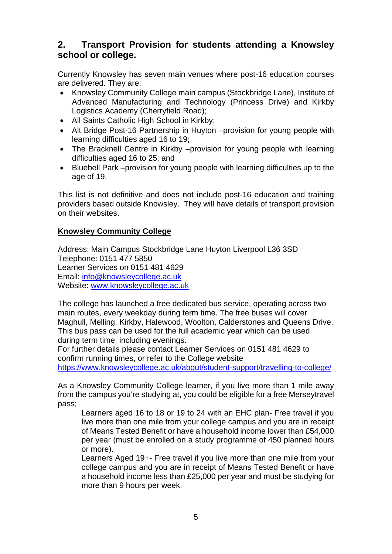# **2. Transport Provision for students attending a Knowsley school or college.**

Currently Knowsley has seven main venues where post-16 education courses are delivered. They are:

- Knowsley Community College main campus (Stockbridge Lane), Institute of Advanced Manufacturing and Technology (Princess Drive) and Kirkby Logistics Academy (Cherryfield Road);
- All Saints Catholic High School in Kirkby;
- Alt Bridge Post-16 Partnership in Huyton –provision for young people with learning difficulties aged 16 to 19;
- The Bracknell Centre in Kirkby –provision for young people with learning difficulties aged 16 to 25; and
- Bluebell Park –provision for young people with learning difficulties up to the age of 19.

This list is not definitive and does not include post-16 education and training providers based outside Knowsley. They will have details of transport provision on their websites.

#### **Knowsley Community College**

Address: Main Campus Stockbridge Lane Huyton Liverpool L36 3SD Telephone: 0151 477 5850 Learner Services on 0151 481 4629 Email: [info@knowsleycollege.ac.uk](mailto:info@knowsleycollege.ac.uk)  Website: [www.knowsleycollege.ac.uk](http://www.knowsleycollege.ac.uk/)

The college has launched a free dedicated bus service, operating across two main routes, every weekday during term time. The free buses will cover Maghull, Melling, Kirkby, Halewood, Woolton, Calderstones and Queens Drive. This bus pass can be used for the full academic year which can be used during term time, including evenings.

For further details please contact Learner Services on 0151 481 4629 to confirm running times, or refer to the College website

<https://www.knowsleycollege.ac.uk/about/student-support/travelling-to-college/>

As a Knowsley Community College learner, if you live more than 1 mile away from the campus you're studying at, you could be eligible for a free Merseytravel pass;

Learners aged 16 to 18 or 19 to 24 with an EHC plan- Free travel if you live more than one mile from your college campus and you are in receipt of Means Tested Benefit or have a household income lower than £54,000 per year (must be enrolled on a study programme of 450 planned hours or more).

Learners Aged 19+- Free travel if you live more than one mile from your college campus and you are in receipt of Means Tested Benefit or have a household income less than £25,000 per year and must be studying for more than 9 hours per week.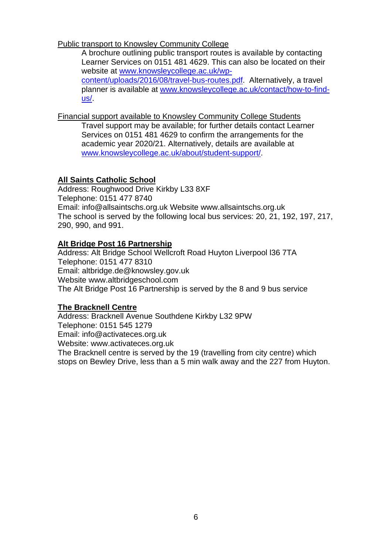Public transport to Knowsley Community College

A brochure outlining public transport routes is available by contacting Learner Services on 0151 481 4629. This can also be located on their website at [www.knowsleycollege.ac.uk/wp-](http://www.knowsleycollege.ac.uk/wp-content/uploads/2016/08/travel-bus-routes.pdf)

[content/uploads/2016/08/travel-bus-routes.pdf.](http://www.knowsleycollege.ac.uk/wp-content/uploads/2016/08/travel-bus-routes.pdf) Alternatively, a travel planner is available at [www.knowsleycollege.ac.uk/contact/how-to-find](http://www.knowsleycollege.ac.uk/contact/how-to-find-us/)[us/.](http://www.knowsleycollege.ac.uk/contact/how-to-find-us/)

Financial support available to Knowsley Community College Students

Travel support may be available; for further details contact Learner Services on 0151 481 4629 to confirm the arrangements for the academic year 2020/21. Alternatively, details are available at [www.knowsleycollege.ac.uk/about/student-support/.](http://www.knowsleycollege.ac.uk/about/student-support/)

# **All Saints Catholic School**

Address: Roughwood Drive Kirkby L33 8XF Telephone: 0151 477 8740 Email: info@allsaintschs.org.uk Website www.allsaintschs.org.uk The school is served by the following local bus services: 20, 21, 192, 197, 217, 290, 990, and 991.

## **Alt Bridge Post 16 Partnership**

Address: Alt Bridge School Wellcroft Road Huyton Liverpool l36 7TA Telephone: 0151 477 8310 Email: altbridge.de@knowsley.gov.uk Website www.altbridgeschool.com The Alt Bridge Post 16 Partnership is served by the 8 and 9 bus service

## **The Bracknell Centre**

Address: Bracknell Avenue Southdene Kirkby L32 9PW Telephone: 0151 545 1279 Email: info@activateces.org.uk Website: www.activateces.org.uk The Bracknell centre is served by the 19 (travelling from city centre) which stops on Bewley Drive, less than a 5 min walk away and the 227 from Huyton.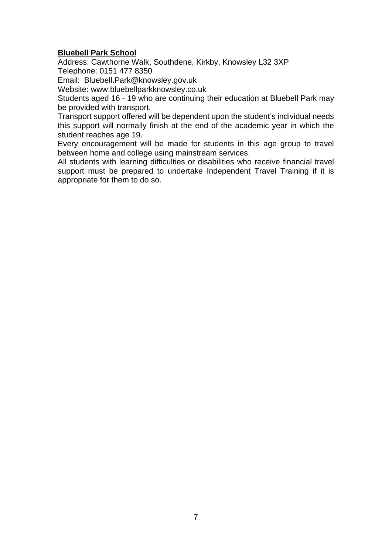#### **Bluebell Park School**

Address: Cawthorne Walk, Southdene, Kirkby, Knowsley L32 3XP Telephone: 0151 477 8350

Email: Bluebell.Park@knowsley.gov.uk

Website: www.bluebellparkknowsley.co.uk

Students aged 16 - 19 who are continuing their education at Bluebell Park may be provided with transport.

Transport support offered will be dependent upon the student's individual needs this support will normally finish at the end of the academic year in which the student reaches age 19.

Every encouragement will be made for students in this age group to travel between home and college using mainstream services.

All students with learning difficulties or disabilities who receive financial travel support must be prepared to undertake Independent Travel Training if it is appropriate for them to do so.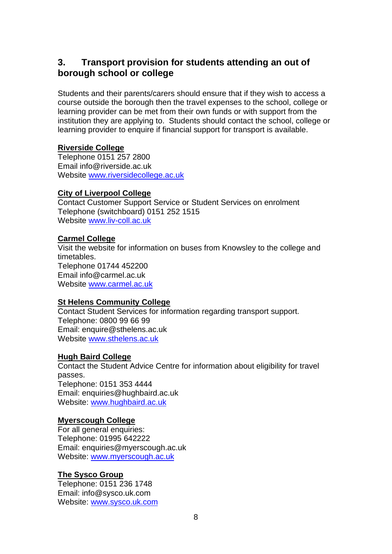# **3. Transport provision for students attending an out of borough school or college**

Students and their parents/carers should ensure that if they wish to access a course outside the borough then the travel expenses to the school, college or learning provider can be met from their own funds or with support from the institution they are applying to. Students should contact the school, college or learning provider to enquire if financial support for transport is available.

## **Riverside College**

Telephone 0151 257 2800 Email info@riverside.ac.uk Website [www.riversidecollege.ac.uk](http://www.riversidecollege.ac.uk/)

## **City of Liverpool College**

Contact Customer Support Service or Student Services on enrolment Telephone (switchboard) 0151 252 1515 Website [www.liv-coll.ac.uk](http://www.liv-coll.ac.uk/)

# **Carmel College**

Visit the website for information on buses from Knowsley to the college and timetables. Telephone 01744 452200 Email info@carmel.ac.uk Website [www.carmel.ac.uk](http://www.carmel.ac.uk/)

## **St Helens Community College**

Contact Student Services for information regarding transport support. Telephone: 0800 99 66 99 Email: enquire@sthelens.ac.uk Website [www.sthelens.ac.uk](http://www.sthelens.ac.uk/)

# **Hugh Baird College**

Contact the Student Advice Centre for information about eligibility for travel passes. Telephone: 0151 353 4444 Email: enquiries@hughbaird.ac.uk Website: [www.hughbaird.ac.uk](http://www.hughbaird.ac.uk/)

## **Myerscough College**

For all general enquiries: Telephone: 01995 642222 Email: [enquiries@myerscough.ac.uk](mailto:%20enquiries@myerscough.ac.uk) Website: [www.myerscough.ac.uk](http://www.myerscough.ac.uk/)

# **The Sysco Group**

Telephone: [0151 236 1748](tel:01512361748) Email: in[fo@sysco.uk.com](mailto:Info@sysco.uk.com) Website: [www.sysco.uk.com](http://www.sysco.uk.com/)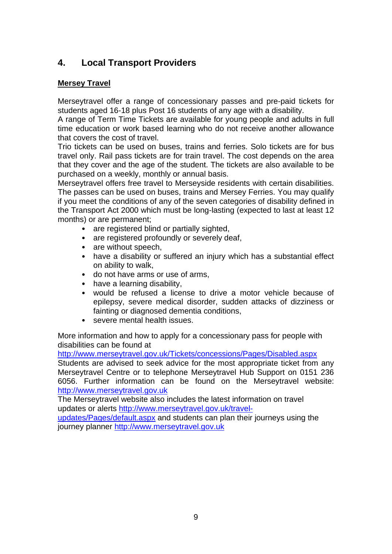# **4. Local Transport Providers**

# **Mersey Travel**

Merseytravel offer a range of concessionary passes and pre-paid tickets for students aged 16-18 plus Post 16 students of any age with a disability.

A range of Term Time Tickets are available for young people and adults in full time education or work based learning who do not receive another allowance that covers the cost of travel.

Trio tickets can be used on buses, trains and ferries. Solo tickets are for bus travel only. Rail pass tickets are for train travel. The cost depends on the area that they cover and the age of the student. The tickets are also available to be purchased on a weekly, monthly or annual basis.

Merseytravel offers free travel to Merseyside residents with certain disabilities. The passes can be used on buses, trains and Mersey Ferries. You may qualify if you meet the conditions of any of the seven categories of disability defined in the Transport Act 2000 which must be long-lasting (expected to last at least 12 months) or are permanent;

- are registered blind or partially sighted,
- are registered profoundly or severely deaf,
- are without speech,
- have a disability or suffered an injury which has a substantial effect on ability to walk,
- do not have arms or use of arms,
- have a learning disability,
- would be refused a license to drive a motor vehicle because of epilepsy, severe medical disorder, sudden attacks of dizziness or fainting or diagnosed dementia conditions,
- severe mental health issues.

More information and how to apply for a concessionary pass for people with disabilities can be found at

<http://www.merseytravel.gov.uk/Tickets/concessions/Pages/Disabled.aspx>

Students are advised to seek advice for the most appropriate ticket from any Merseytravel Centre or to telephone Merseytravel Hub Support on 0151 236 6056. Further information can be found on the Merseytravel website: [http://www.merseytravel.gov.uk](http://www.merseytravel.gov.uk/)

The Merseytravel website also includes the latest information on travel updates or alerts [http://www.merseytravel.gov.uk/travel-](http://www.merseytravel.gov.uk/travel-updates/Pages/default.aspx)

[updates/Pages/default.aspx](http://www.merseytravel.gov.uk/travel-updates/Pages/default.aspx) and students can plan their journeys using the journey planner [http://www.merseytravel.gov.uk](http://www.merseytravel.gov.uk/)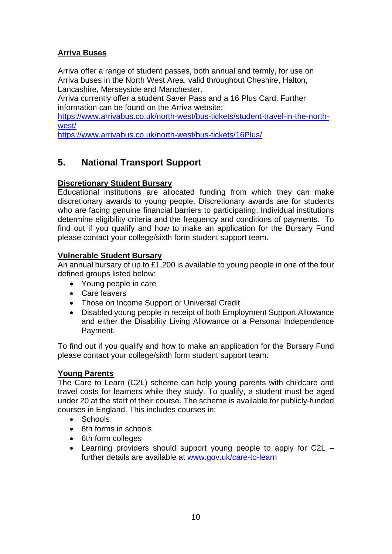# **Arriva Buses**

Arriva offer a range of student passes, both annual and termly, for use on Arriva buses in the North West Area, valid throughout Cheshire, Halton, Lancashire, Merseyside and Manchester.

Arriva currently offer a student Saver Pass and a 16 Plus Card. Further information can be found on the Arriva website:

[https://www.arrivabus.co.uk/north-west/bus-tickets/student-travel-in-the-north](https://www.arrivabus.co.uk/north-west/bus-tickets/student-travel-in-the-north-west/)[west/](https://www.arrivabus.co.uk/north-west/bus-tickets/student-travel-in-the-north-west/)

<https://www.arrivabus.co.uk/north-west/bus-tickets/16Plus/>

# **5. National Transport Support**

#### **Discretionary Student Bursary**

Educational institutions are allocated funding from which they can make discretionary awards to young people. Discretionary awards are for students who are facing genuine financial barriers to participating. Individual institutions determine eligibility criteria and the frequency and conditions of payments. To find out if you qualify and how to make an application for the Bursary Fund please contact your college/sixth form student support team.

#### **Vulnerable Student Bursary**

An annual bursary of up to  $£1,200$  is available to young people in one of the four defined groups listed below:

- Young people in care
- Care leavers
- Those on Income Support or Universal Credit
- Disabled young people in receipt of both Employment Support Allowance and either the Disability Living Allowance or a Personal Independence Payment.

To find out if you qualify and how to make an application for the Bursary Fund please contact your college/sixth form student support team.

#### **Young Parents**

The Care to Learn (C2L) scheme can help young parents with childcare and travel costs for learners while they study. To qualify, a student must be aged under 20 at the start of their course. The scheme is available for publicly-funded courses in England. This includes courses in:

- Schools
- 6th forms in schools
- 6th form colleges
- Learning providers should support young people to apply for C2L further details are available at [www.gov.uk/care-to-learn](http://www.gov.uk/care-to-learn)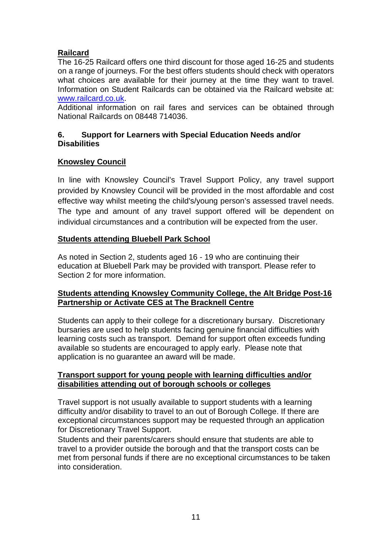## **Railcard**

The 16-25 Railcard offers one third discount for those aged 16-25 and students on a range of journeys. For the best offers students should check with operators what choices are available for their journey at the time they want to travel. Information on Student Railcards can be obtained via the Railcard website at: [www.railcard.co.uk.](http://www.railcard.co.uk/)

Additional information on rail fares and services can be obtained through National Railcards on 08448 714036.

#### **6. Support for Learners with Special Education Needs and/or Disabilities**

#### **Knowsley Council**

In line with Knowsley Council's Travel Support Policy, any travel support provided by Knowsley Council will be provided in the most affordable and cost effective way whilst meeting the child's/young person's assessed travel needs. The type and amount of any travel support offered will be dependent on individual circumstances and a contribution will be expected from the user.

## **Students attending Bluebell Park School**

As noted in Section 2, students aged 16 - 19 who are continuing their education at Bluebell Park may be provided with transport. Please refer to Section 2 for more information.

## **Students attending Knowsley Community College, the Alt Bridge Post-16 Partnership or Activate CES at The Bracknell Centre**

Students can apply to their college for a discretionary bursary. Discretionary bursaries are used to help students facing genuine financial difficulties with learning costs such as transport. Demand for support often exceeds funding available so students are encouraged to apply early. Please note that application is no guarantee an award will be made.

#### **Transport support for young people with learning difficulties and/or disabilities attending out of borough schools or colleges**

Travel support is not usually available to support students with a learning difficulty and/or disability to travel to an out of Borough College. If there are exceptional circumstances support may be requested through an application for Discretionary Travel Support.

Students and their parents/carers should ensure that students are able to travel to a provider outside the borough and that the transport costs can be met from personal funds if there are no exceptional circumstances to be taken into consideration.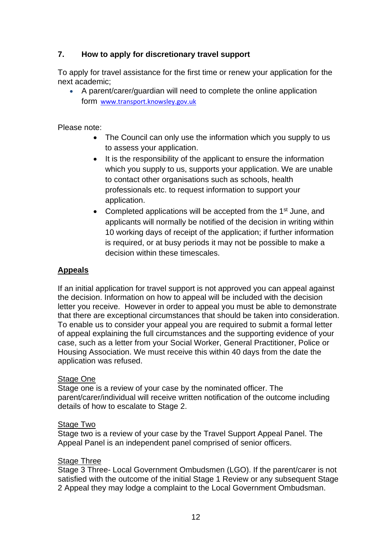## **7. How to apply for discretionary travel support**

To apply for travel assistance for the first time or renew your application for the next academic;

• A parent/carer/guardian will need to complete the online application form [www.transport.knowsley.gov.uk](http://www.transport.knowsley.gov.uk/)

Please note:

- The Council can only use the information which you supply to us to assess your application.
- It is the responsibility of the applicant to ensure the information which you supply to us, supports your application. We are unable to contact other organisations such as schools, health professionals etc. to request information to support your application.
- Completed applications will be accepted from the 1<sup>st</sup> June, and applicants will normally be notified of the decision in writing within 10 working days of receipt of the application; if further information is required, or at busy periods it may not be possible to make a decision within these timescales.

## **Appeals**

If an initial application for travel support is not approved you can appeal against the decision. Information on how to appeal will be included with the decision letter you receive. However in order to appeal you must be able to demonstrate that there are exceptional circumstances that should be taken into consideration. To enable us to consider your appeal you are required to submit a formal letter of appeal explaining the full circumstances and the supporting evidence of your case, such as a letter from your Social Worker, General Practitioner, Police or Housing Association. We must receive this within 40 days from the date the application was refused.

#### Stage One

Stage one is a review of your case by the nominated officer. The parent/carer/individual will receive written notification of the outcome including details of how to escalate to Stage 2.

#### Stage Two

Stage two is a review of your case by the Travel Support Appeal Panel. The Appeal Panel is an independent panel comprised of senior officers.

## **Stage Three**

Stage 3 Three- Local Government Ombudsmen (LGO). If the parent/carer is not satisfied with the outcome of the initial Stage 1 Review or any subsequent Stage 2 Appeal they may lodge a complaint to the Local Government Ombudsman.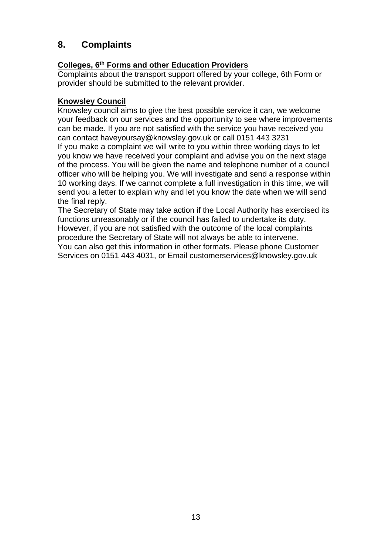# **8. Complaints**

# **Colleges, 6th Forms and other Education Providers**

Complaints about the transport support offered by your college, 6th Form or provider should be submitted to the relevant provider.

#### **Knowsley Council**

Knowsley council aims to give the best possible service it can, we welcome your feedback on our services and the opportunity to see where improvements can be made. If you are not satisfied with the service you have received you can contact haveyoursay@knowsley.gov.uk or call 0151 443 3231 If you make a complaint we will write to you within three working days to let you know we have received your complaint and advise you on the next stage of the process. You will be given the name and telephone number of a council officer who will be helping you. We will investigate and send a response within 10 working days. If we cannot complete a full investigation in this time, we will send you a letter to explain why and let you know the date when we will send the final reply.

The Secretary of State may take action if the Local Authority has exercised its functions unreasonably or if the council has failed to undertake its duty. However, if you are not satisfied with the outcome of the local complaints procedure the Secretary of State will not always be able to intervene. You can also get this information in other formats. Please phone Customer Services on 0151 443 4031, or Email customerservices@knowsley.gov.uk